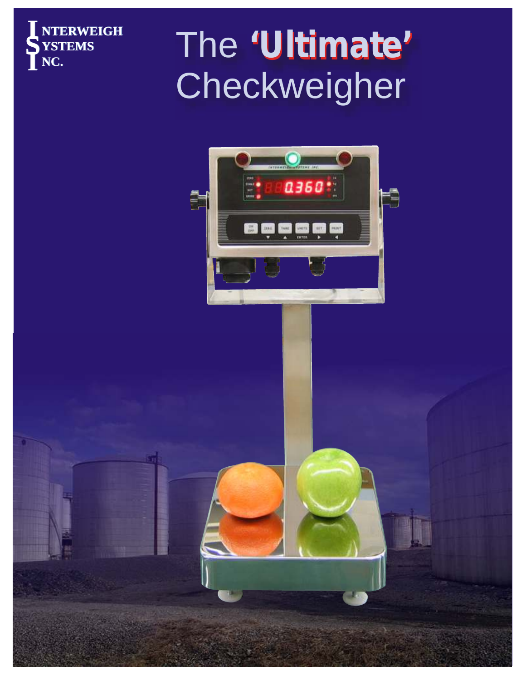

# **NC.** The **'Ultimate' 'Ultimate'** Checkweigher